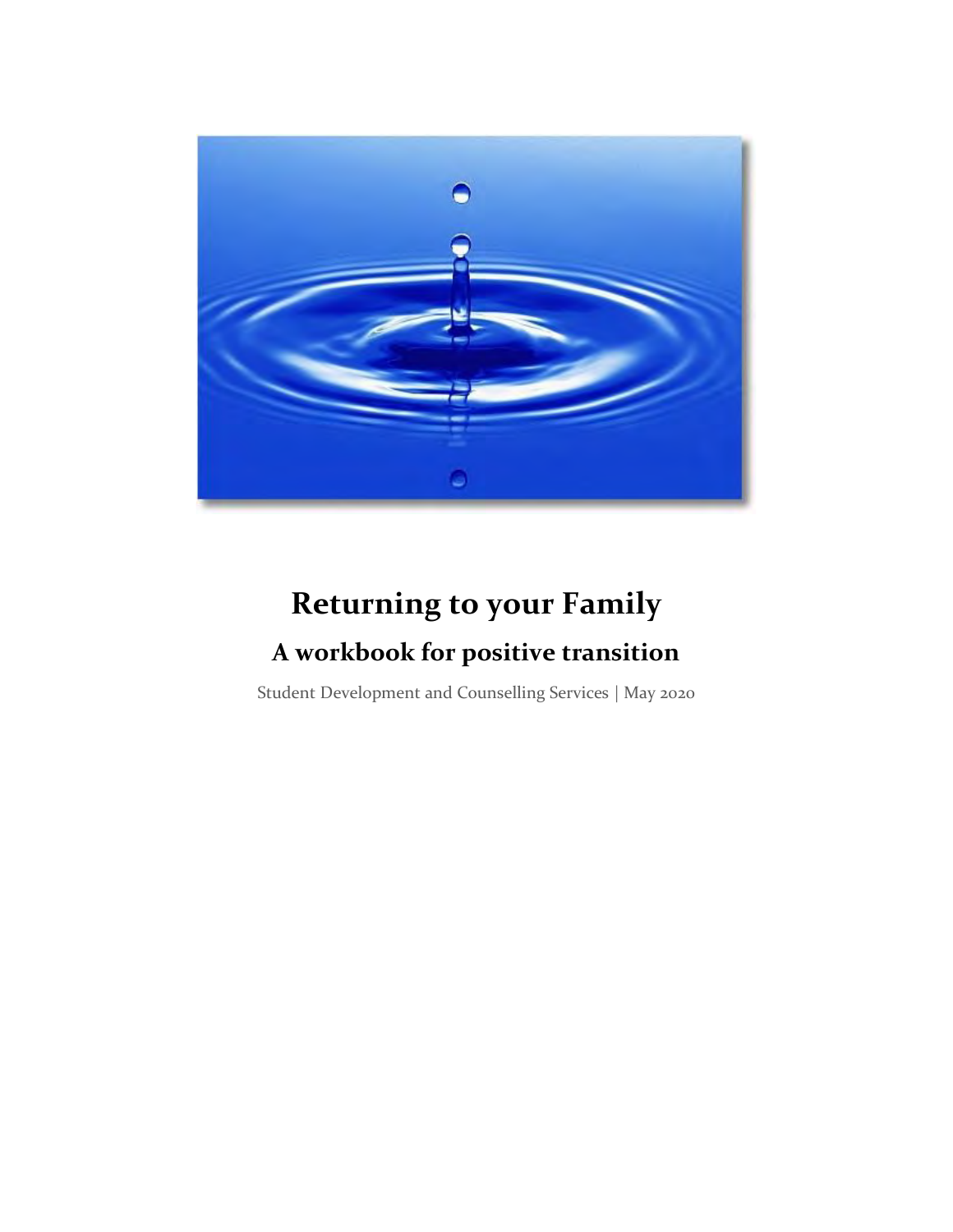

# **Returning to your Family A workbook for positive transition**

Student Development and Counselling Services | May 2020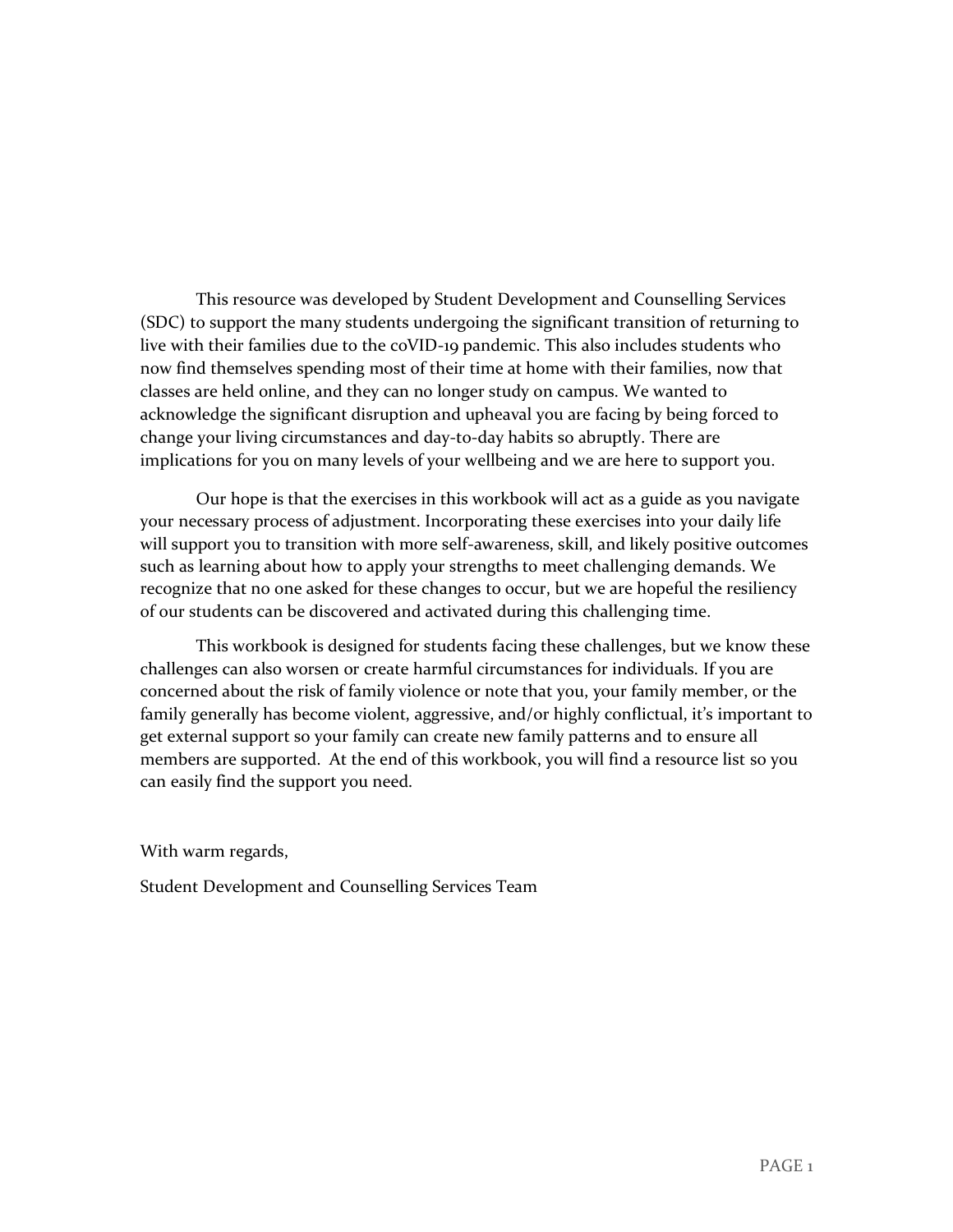This resource was developed by Student Development and Counselling Services (SDC) to support the many students undergoing the significant transition of returning to live with their families due to the coVID-19 pandemic. This also includes students who now find themselves spending most of their time at home with their families, now that classes are held online, and they can no longer study on campus. We wanted to acknowledge the significant disruption and upheaval you are facing by being forced to change your living circumstances and day-to-day habits so abruptly. There are implications for you on many levels of your wellbeing and we are here to support you.

Our hope is that the exercises in this workbook will act as a guide as you navigate your necessary process of adjustment. Incorporating these exercises into your daily life will support you to transition with more self-awareness, skill, and likely positive outcomes such as learning about how to apply your strengths to meet challenging demands. We recognize that no one asked for these changes to occur, but we are hopeful the resiliency of our students can be discovered and activated during this challenging time.

This workbook is designed for students facing these challenges, but we know these challenges can also worsen or create harmful circumstances for individuals. If you are concerned about the risk of family violence or note that you, your family member, or the family generally has become violent, aggressive, and/or highly conflictual, it's important to get external support so your family can create new family patterns and to ensure all members are supported. At the end of this workbook, you will find a resource list so you can easily find the support you need.

With warm regards,

Student Development and Counselling Services Team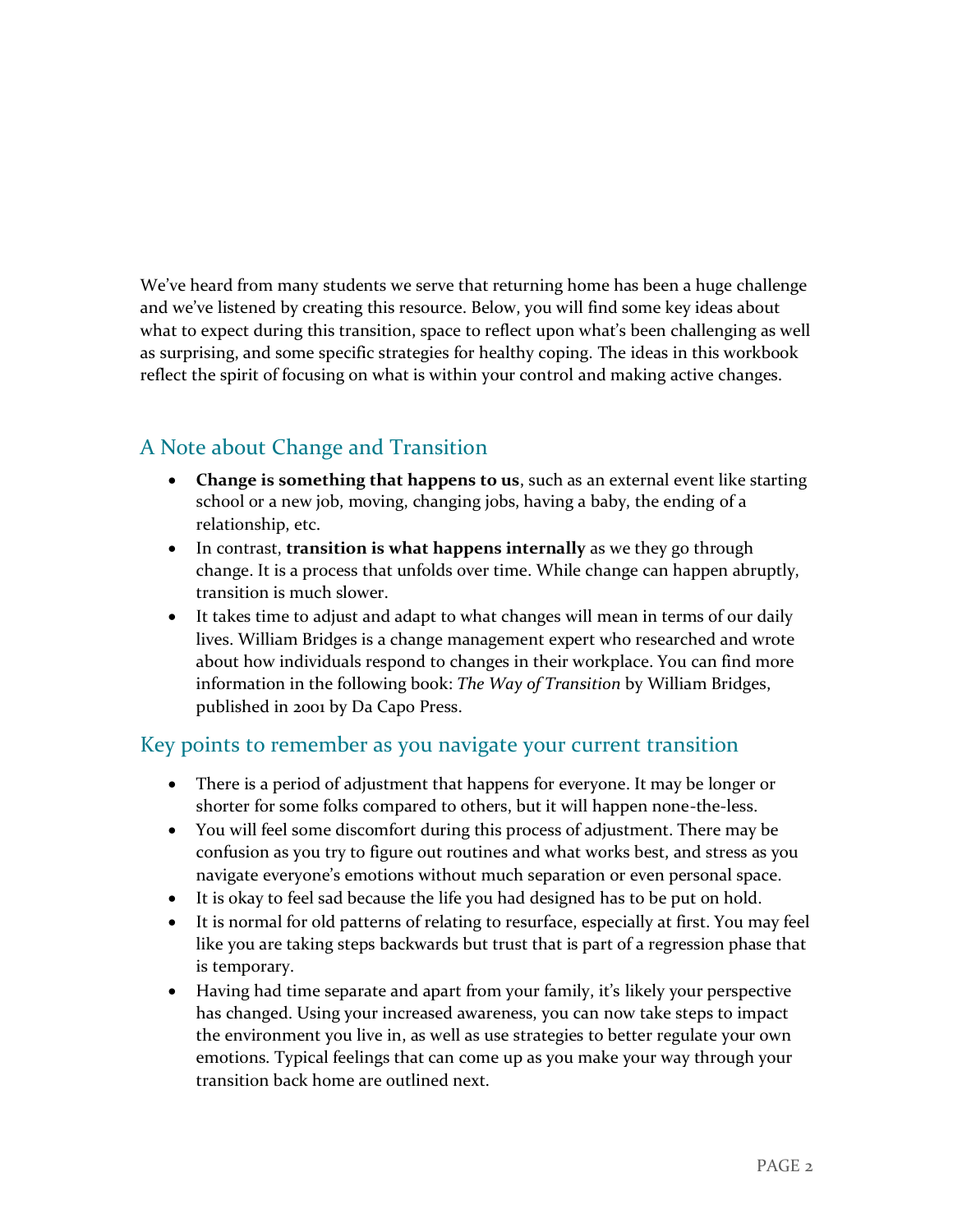We've heard from many students we serve that returning home has been a huge challenge and we've listened by creating this resource. Below, you will find some key ideas about what to expect during this transition, space to reflect upon what's been challenging as well as surprising, and some specific strategies for healthy coping. The ideas in this workbook reflect the spirit of focusing on what is within your control and making active changes.

### A Note about Change and Transition

- **Change is something that happens to us**, such as an external event like starting school or a new job, moving, changing jobs, having a baby, the ending of a relationship, etc.
- In contrast, **transition is what happens internally** as we they go through change. It is a process that unfolds over time. While change can happen abruptly, transition is much slower.
- It takes time to adjust and adapt to what changes will mean in terms of our daily lives. William Bridges is a change management expert who researched and wrote about how individuals respond to changes in their workplace. You can find more information in the following book: *The Way of Transition* by William Bridges, published in 2001 by Da Capo Press.

### Key points to remember as you navigate your current transition

- There is a period of adjustment that happens for everyone. It may be longer or shorter for some folks compared to others, but it will happen none-the-less.
- You will feel some discomfort during this process of adjustment. There may be confusion as you try to figure out routines and what works best, and stress as you navigate everyone's emotions without much separation or even personal space.
- It is okay to feel sad because the life you had designed has to be put on hold.
- It is normal for old patterns of relating to resurface, especially at first. You may feel like you are taking steps backwards but trust that is part of a regression phase that is temporary.
- Having had time separate and apart from your family, it's likely your perspective has changed. Using your increased awareness, you can now take steps to impact the environment you live in, as well as use strategies to better regulate your own emotions. Typical feelings that can come up as you make your way through your transition back home are outlined next.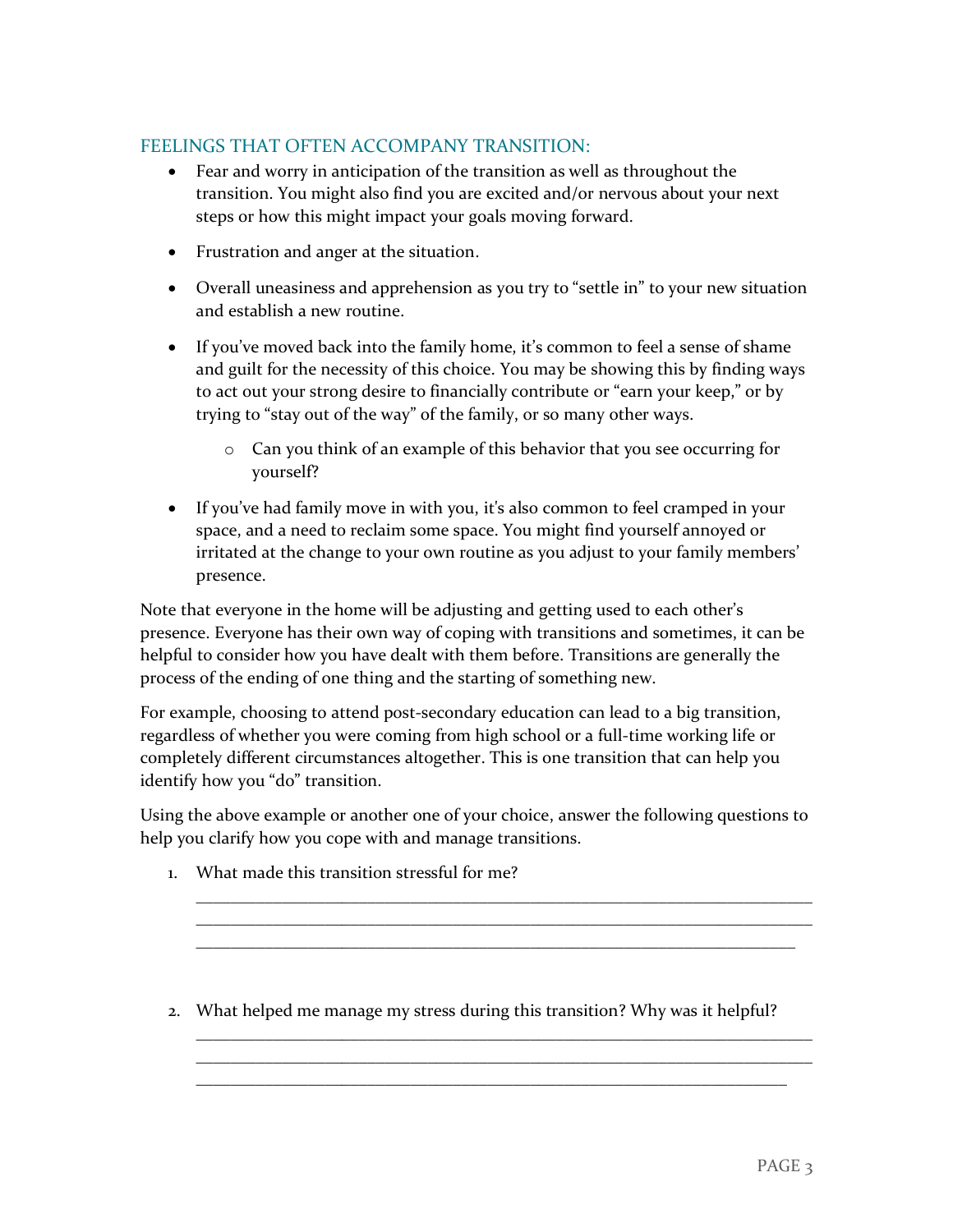### FEELINGS THAT OFTEN ACCOMPANY TRANSITION:

- Fear and worry in anticipation of the transition as well as throughout the transition. You might also find you are excited and/or nervous about your next steps or how this might impact your goals moving forward.
- Frustration and anger at the situation.
- Overall uneasiness and apprehension as you try to "settle in" to your new situation and establish a new routine.
- If you've moved back into the family home, it's common to feel a sense of shame and guilt for the necessity of this choice. You may be showing this by finding ways to act out your strong desire to financially contribute or "earn your keep," or by trying to "stay out of the way" of the family, or so many other ways.
	- o Can you think of an example of this behavior that you see occurring for yourself?
- If you've had family move in with you, it's also common to feel cramped in your space, and a need to reclaim some space. You might find yourself annoyed or irritated at the change to your own routine as you adjust to your family members' presence.

Note that everyone in the home will be adjusting and getting used to each other's presence. Everyone has their own way of coping with transitions and sometimes, it can be helpful to consider how you have dealt with them before. Transitions are generally the process of the ending of one thing and the starting of something new.

For example, choosing to attend post-secondary education can lead to a big transition, regardless of whether you were coming from high school or a full-time working life or completely different circumstances altogether. This is one transition that can help you identify how you "do" transition.

Using the above example or another one of your choice, answer the following questions to help you clarify how you cope with and manage transitions.

\_\_\_\_\_\_\_\_\_\_\_\_\_\_\_\_\_\_\_\_\_\_\_\_\_\_\_\_\_\_\_\_\_\_\_\_\_\_\_\_\_\_\_\_\_\_\_\_\_\_\_\_\_\_\_\_\_\_\_\_\_\_\_\_\_\_\_\_\_\_\_\_ \_\_\_\_\_\_\_\_\_\_\_\_\_\_\_\_\_\_\_\_\_\_\_\_\_\_\_\_\_\_\_\_\_\_\_\_\_\_\_\_\_\_\_\_\_\_\_\_\_\_\_\_\_\_\_\_\_\_\_\_\_\_\_\_\_\_\_\_\_\_\_\_ \_\_\_\_\_\_\_\_\_\_\_\_\_\_\_\_\_\_\_\_\_\_\_\_\_\_\_\_\_\_\_\_\_\_\_\_\_\_\_\_\_\_\_\_\_\_\_\_\_\_\_\_\_\_\_\_\_\_\_\_\_\_\_\_\_\_\_\_\_\_

\_\_\_\_\_\_\_\_\_\_\_\_\_\_\_\_\_\_\_\_\_\_\_\_\_\_\_\_\_\_\_\_\_\_\_\_\_\_\_\_\_\_\_\_\_\_\_\_\_\_\_\_\_\_\_\_\_\_\_\_\_\_\_\_\_\_\_\_\_\_\_\_ \_\_\_\_\_\_\_\_\_\_\_\_\_\_\_\_\_\_\_\_\_\_\_\_\_\_\_\_\_\_\_\_\_\_\_\_\_\_\_\_\_\_\_\_\_\_\_\_\_\_\_\_\_\_\_\_\_\_\_\_\_\_\_\_\_\_\_\_\_\_\_\_ \_\_\_\_\_\_\_\_\_\_\_\_\_\_\_\_\_\_\_\_\_\_\_\_\_\_\_\_\_\_\_\_\_\_\_\_\_\_\_\_\_\_\_\_\_\_\_\_\_\_\_\_\_\_\_\_\_\_\_\_\_\_\_\_\_\_\_\_\_

- 1. What made this transition stressful for me?
- 2. What helped me manage my stress during this transition? Why was it helpful?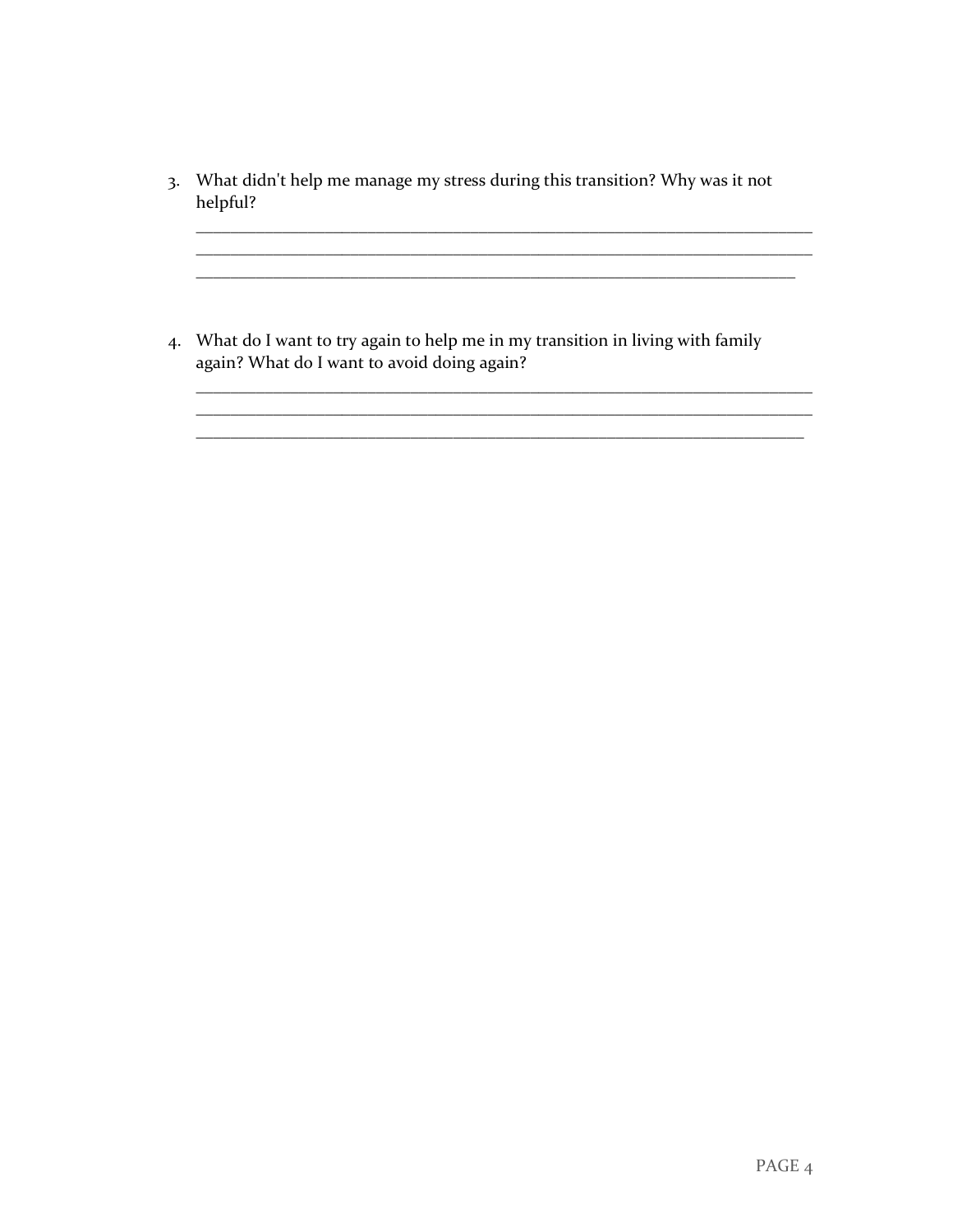3. What didn't help me manage my stress during this transition? Why was it not helpful?

 $\overline{\phantom{a}}$ 

4. What do I want to try again to help me in my transition in living with family again? What do I want to avoid doing again?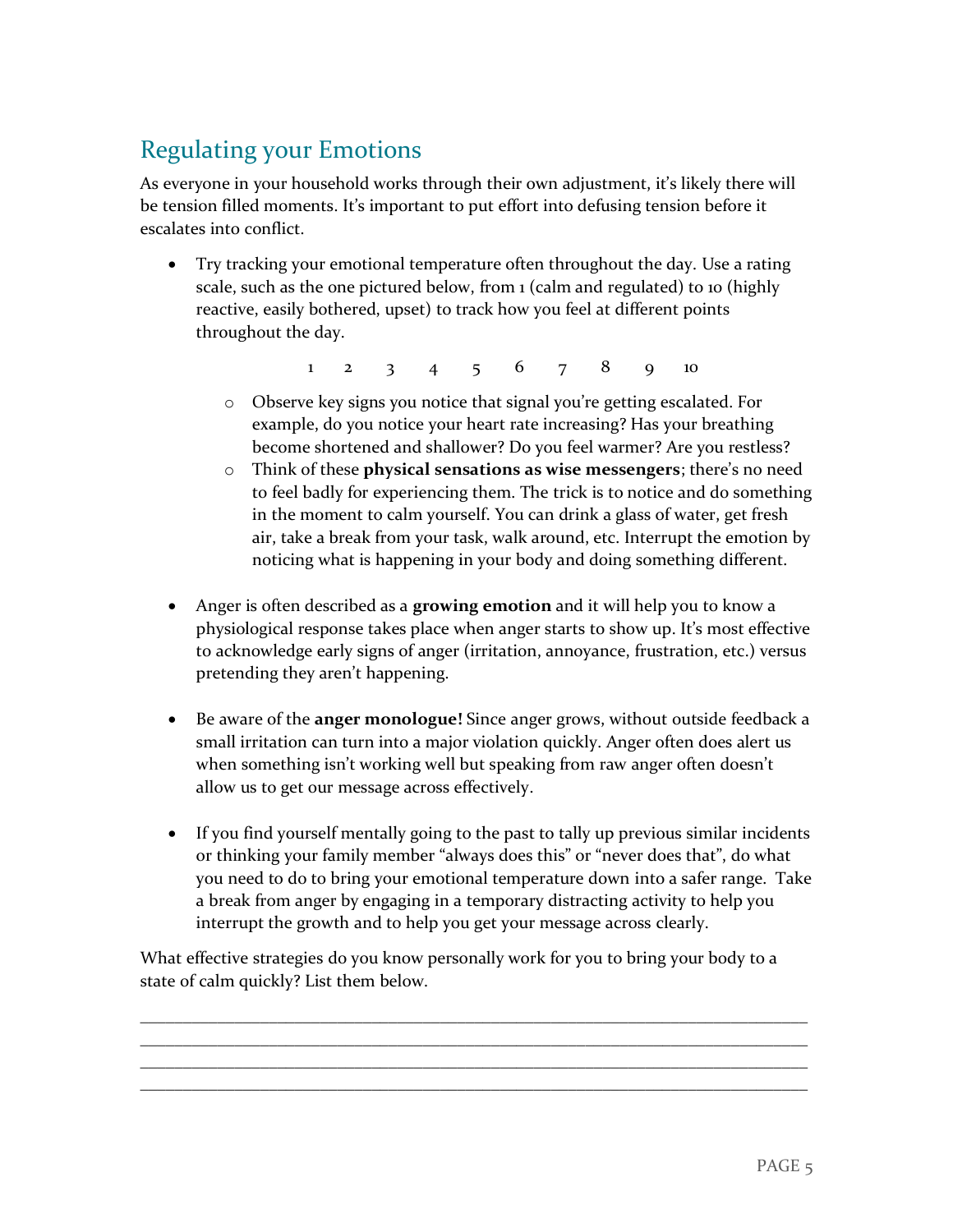## Regulating your Emotions

As everyone in your household works through their own adjustment, it's likely there will be tension filled moments. It's important to put effort into defusing tension before it escalates into conflict.

• Try tracking your emotional temperature often throughout the day. Use a rating scale, such as the one pictured below, from  $1$  (calm and regulated) to 10 (highly reactive, easily bothered, upset) to track how you feel at different points throughout the day.

1 2 3 4 5 6 7 8 9 10

- o Observe key signs you notice that signal you're getting escalated. For example, do you notice your heart rate increasing? Has your breathing become shortened and shallower? Do you feel warmer? Are you restless?
- o Think of these **physical sensations as wise messengers**; there's no need to feel badly for experiencing them. The trick is to notice and do something in the moment to calm yourself. You can drink a glass of water, get fresh air, take a break from your task, walk around, etc. Interrupt the emotion by noticing what is happening in your body and doing something different.
- Anger is often described as a **growing emotion** and it will help you to know a physiological response takes place when anger starts to show up. It's most effective to acknowledge early signs of anger (irritation, annoyance, frustration, etc.) versus pretending they aren't happening.
- Be aware of the **anger monologue!** Since anger grows, without outside feedback a small irritation can turn into a major violation quickly. Anger often does alert us when something isn't working well but speaking from raw anger often doesn't allow us to get our message across effectively.
- If you find yourself mentally going to the past to tally up previous similar incidents or thinking your family member "always does this" or "never does that", do what you need to do to bring your emotional temperature down into a safer range. Take a break from anger by engaging in a temporary distracting activity to help you interrupt the growth and to help you get your message across clearly.

What effective strategies do you know personally work for you to bring your body to a state of calm quickly? List them below.

\_\_\_\_\_\_\_\_\_\_\_\_\_\_\_\_\_\_\_\_\_\_\_\_\_\_\_\_\_\_\_\_\_\_\_\_\_\_\_\_\_\_\_\_\_\_\_\_\_\_\_\_\_\_\_\_\_\_\_\_\_\_\_\_\_\_\_\_\_\_\_\_\_\_\_\_\_\_ \_\_\_\_\_\_\_\_\_\_\_\_\_\_\_\_\_\_\_\_\_\_\_\_\_\_\_\_\_\_\_\_\_\_\_\_\_\_\_\_\_\_\_\_\_\_\_\_\_\_\_\_\_\_\_\_\_\_\_\_\_\_\_\_\_\_\_\_\_\_\_\_\_\_\_\_\_\_ \_\_\_\_\_\_\_\_\_\_\_\_\_\_\_\_\_\_\_\_\_\_\_\_\_\_\_\_\_\_\_\_\_\_\_\_\_\_\_\_\_\_\_\_\_\_\_\_\_\_\_\_\_\_\_\_\_\_\_\_\_\_\_\_\_\_\_\_\_\_\_\_\_\_\_\_\_\_ \_\_\_\_\_\_\_\_\_\_\_\_\_\_\_\_\_\_\_\_\_\_\_\_\_\_\_\_\_\_\_\_\_\_\_\_\_\_\_\_\_\_\_\_\_\_\_\_\_\_\_\_\_\_\_\_\_\_\_\_\_\_\_\_\_\_\_\_\_\_\_\_\_\_\_\_\_\_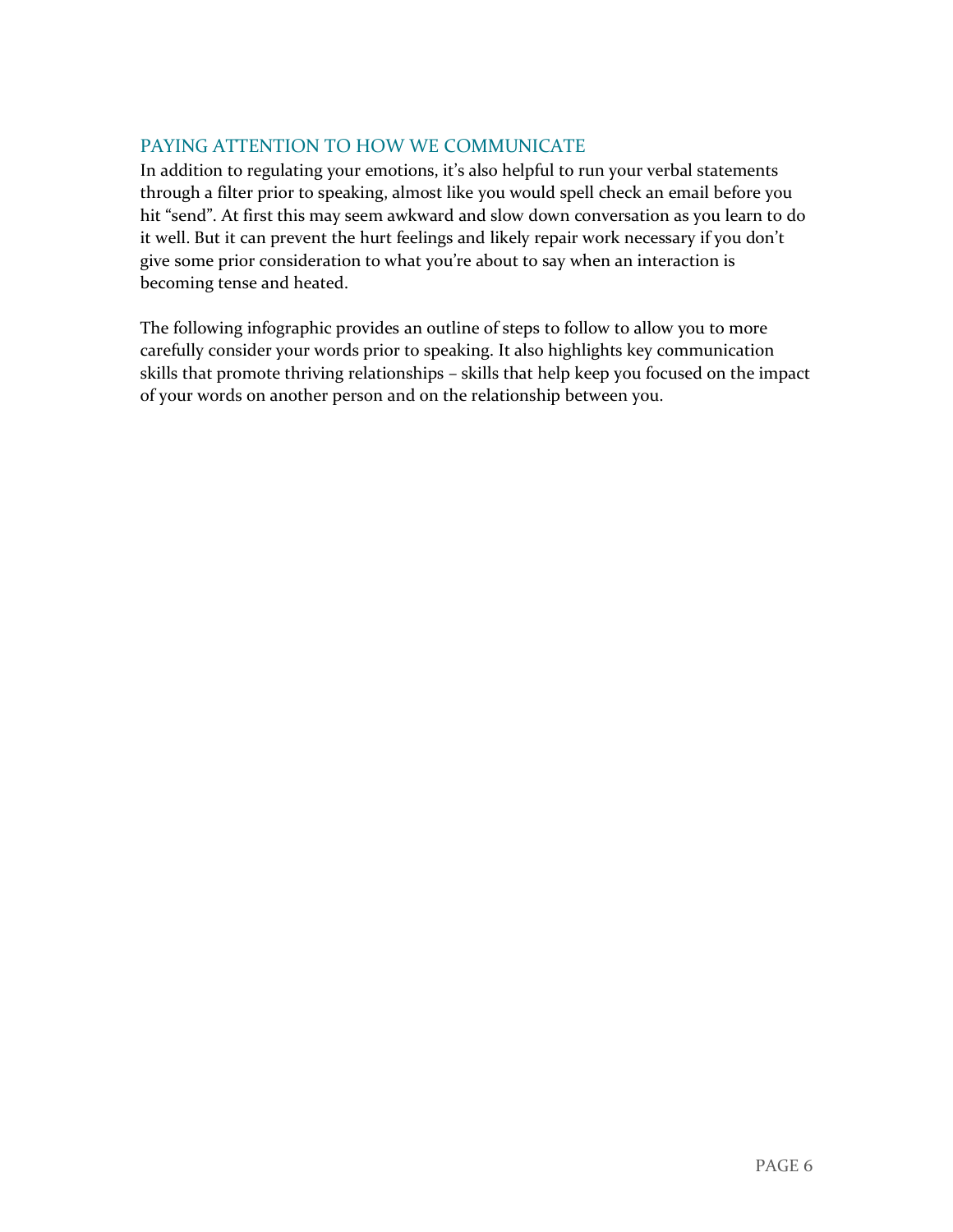### PAYING ATTENTION TO HOW WE COMMUNICATE

In addition to regulating your emotions, it's also helpful to run your verbal statements through a filter prior to speaking, almost like you would spell check an email before you hit "send". At first this may seem awkward and slow down conversation as you learn to do it well. But it can prevent the hurt feelings and likely repair work necessary if you don't give some prior consideration to what you're about to say when an interaction is becoming tense and heated.

The following infographic provides an outline of steps to follow to allow you to more carefully consider your words prior to speaking. It also highlights key communication skills that promote thriving relationships – skills that help keep you focused on the impact of your words on another person and on the relationship between you.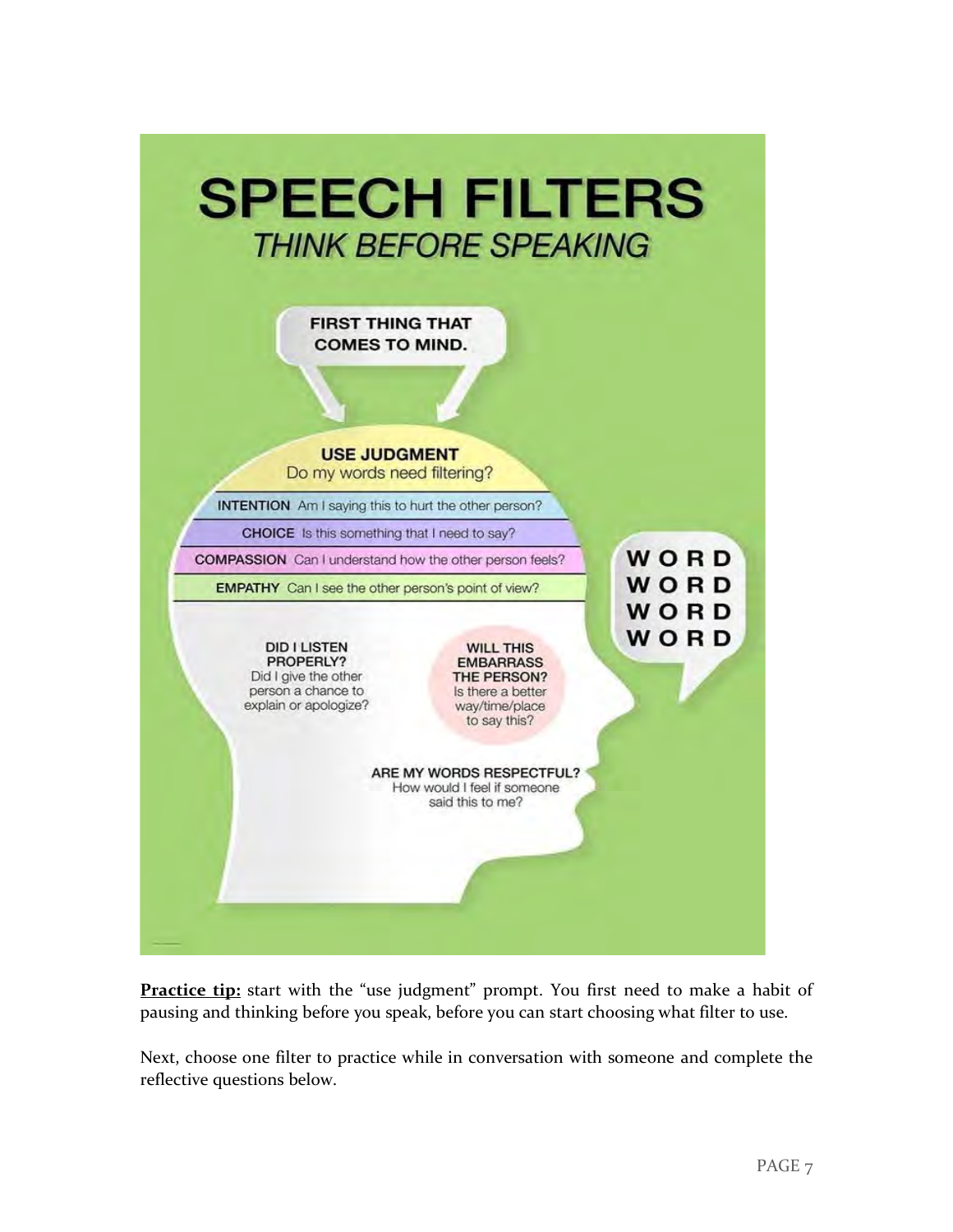

**Practice tip:** start with the "use judgment" prompt. You first need to make a habit of pausing and thinking before you speak, before you can start choosing what filter to use.

Next, choose one filter to practice while in conversation with someone and complete the reflective questions below.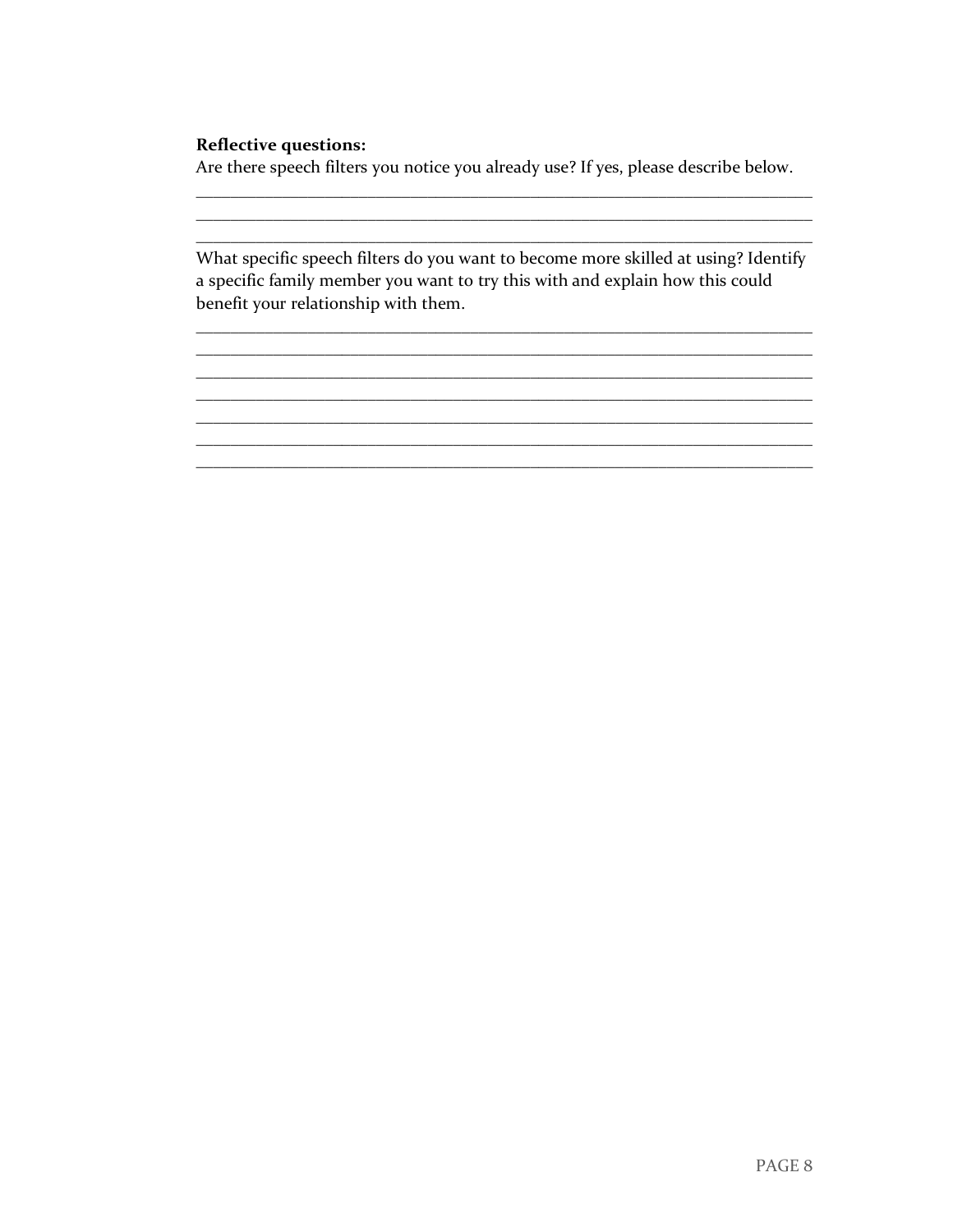#### **Reflective questions:**

Are there speech filters you notice you already use? If yes, please describe below.

What specific speech filters do you want to become more skilled at using? Identify a specific family member you want to try this with and explain how this could benefit your relationship with them.

<u> 1989 - Johann Barbara, martxa alemaniar amerikan basar da basar da basar da basar da basar da basar da basar</u>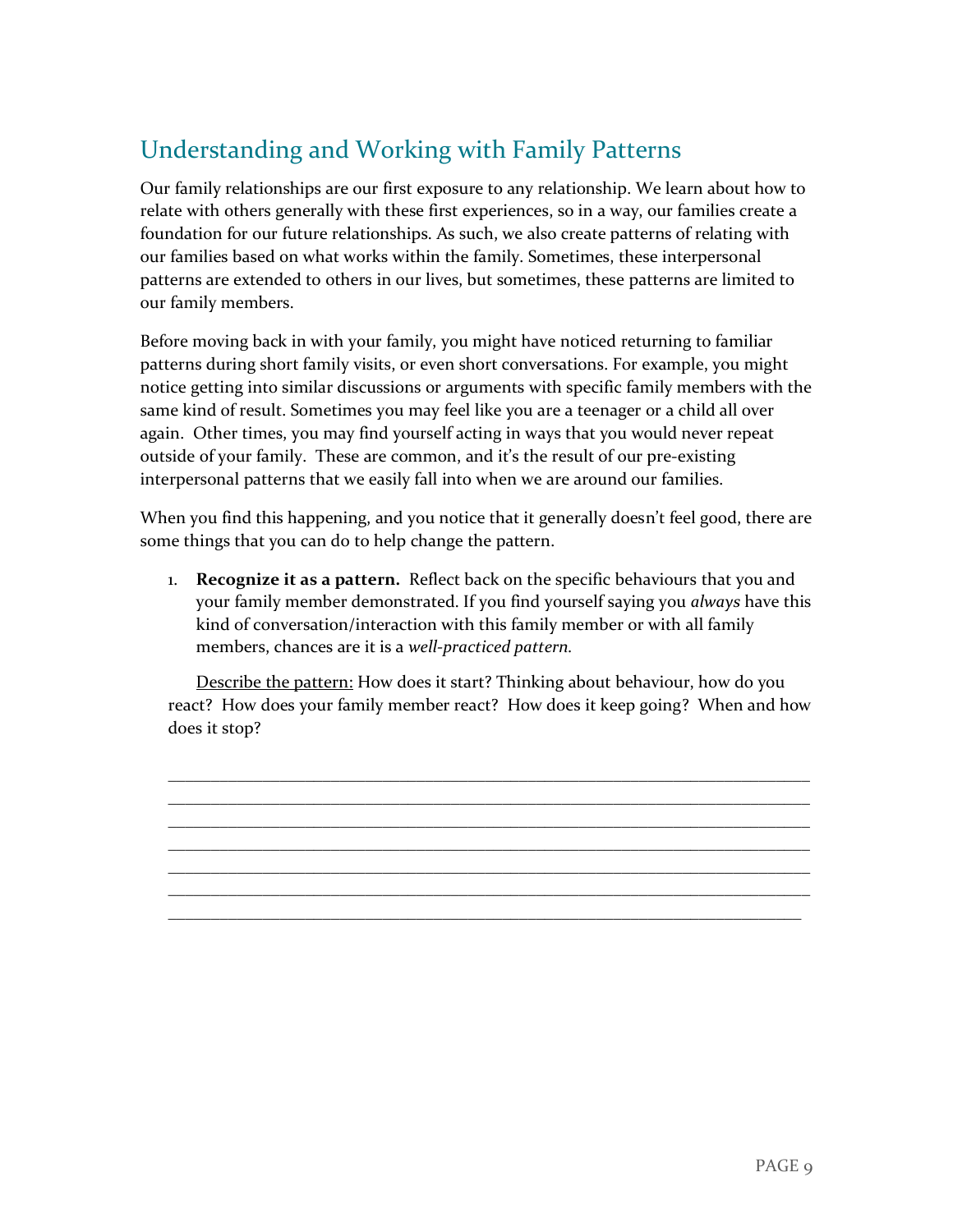### Understanding and Working with Family Patterns

Our family relationships are our first exposure to any relationship. We learn about how to relate with others generally with these first experiences, so in a way, our families create a foundation for our future relationships. As such, we also create patterns of relating with our families based on what works within the family. Sometimes, these interpersonal patterns are extended to others in our lives, but sometimes, these patterns are limited to our family members.

Before moving back in with your family, you might have noticed returning to familiar patterns during short family visits, or even short conversations. For example, you might notice getting into similar discussions or arguments with specific family members with the same kind of result. Sometimes you may feel like you are a teenager or a child all over again. Other times, you may find yourself acting in ways that you would never repeat outside of your family. These are common, and it's the result of our pre-existing interpersonal patterns that we easily fall into when we are around our families.

When you find this happening, and you notice that it generally doesn't feel good, there are some things that you can do to help change the pattern.

1. **Recognize it as a pattern.** Reflect back on the specific behaviours that you and your family member demonstrated. If you find yourself saying you *always* have this kind of conversation/interaction with this family member or with all family members, chances are it is a *well-practiced pattern.* 

Describe the pattern: How does it start? Thinking about behaviour, how do you react? How does your family member react? How does it keep going? When and how does it stop?

\_\_\_\_\_\_\_\_\_\_\_\_\_\_\_\_\_\_\_\_\_\_\_\_\_\_\_\_\_\_\_\_\_\_\_\_\_\_\_\_\_\_\_\_\_\_\_\_\_\_\_\_\_\_\_\_\_\_\_\_\_\_\_\_\_\_\_\_\_\_\_\_\_\_\_ \_\_\_\_\_\_\_\_\_\_\_\_\_\_\_\_\_\_\_\_\_\_\_\_\_\_\_\_\_\_\_\_\_\_\_\_\_\_\_\_\_\_\_\_\_\_\_\_\_\_\_\_\_\_\_\_\_\_\_\_\_\_\_\_\_\_\_\_\_\_\_\_\_\_\_ \_\_\_\_\_\_\_\_\_\_\_\_\_\_\_\_\_\_\_\_\_\_\_\_\_\_\_\_\_\_\_\_\_\_\_\_\_\_\_\_\_\_\_\_\_\_\_\_\_\_\_\_\_\_\_\_\_\_\_\_\_\_\_\_\_\_\_\_\_\_\_\_\_\_\_ \_\_\_\_\_\_\_\_\_\_\_\_\_\_\_\_\_\_\_\_\_\_\_\_\_\_\_\_\_\_\_\_\_\_\_\_\_\_\_\_\_\_\_\_\_\_\_\_\_\_\_\_\_\_\_\_\_\_\_\_\_\_\_\_\_\_\_\_\_\_\_\_\_\_\_ \_\_\_\_\_\_\_\_\_\_\_\_\_\_\_\_\_\_\_\_\_\_\_\_\_\_\_\_\_\_\_\_\_\_\_\_\_\_\_\_\_\_\_\_\_\_\_\_\_\_\_\_\_\_\_\_\_\_\_\_\_\_\_\_\_\_\_\_\_\_\_\_\_\_\_ \_\_\_\_\_\_\_\_\_\_\_\_\_\_\_\_\_\_\_\_\_\_\_\_\_\_\_\_\_\_\_\_\_\_\_\_\_\_\_\_\_\_\_\_\_\_\_\_\_\_\_\_\_\_\_\_\_\_\_\_\_\_\_\_\_\_\_\_\_\_\_\_\_\_\_ \_\_\_\_\_\_\_\_\_\_\_\_\_\_\_\_\_\_\_\_\_\_\_\_\_\_\_\_\_\_\_\_\_\_\_\_\_\_\_\_\_\_\_\_\_\_\_\_\_\_\_\_\_\_\_\_\_\_\_\_\_\_\_\_\_\_\_\_\_\_\_\_\_\_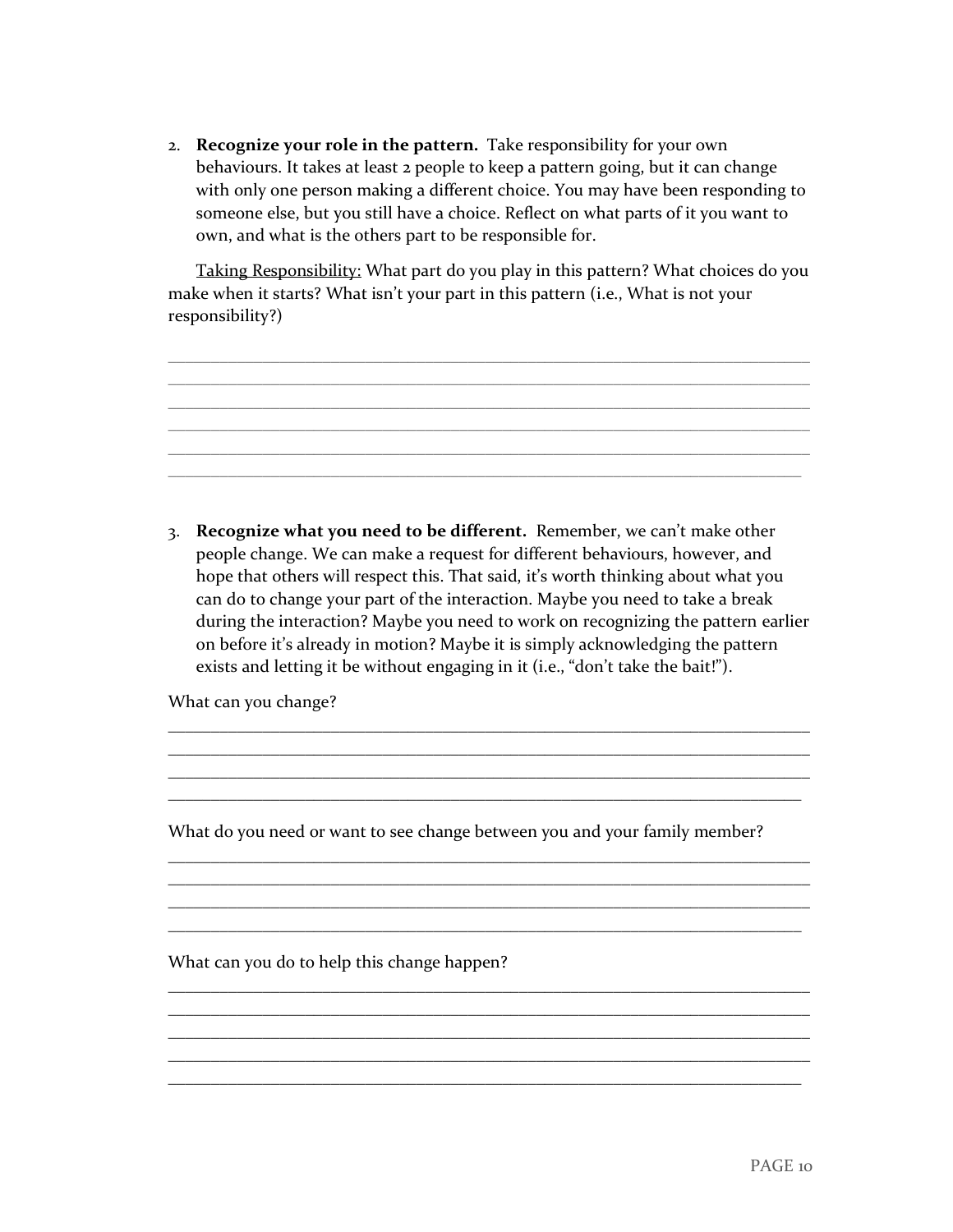2. **Recognize your role in the pattern.** Take responsibility for your own behaviours. It takes at least 2 people to keep a pattern going, but it can change with only one person making a different choice. You may have been responding to someone else, but you still have a choice. Reflect on what parts of it you want to own, and what is the others part to be responsible for.

Taking Responsibility: What part do you play in this pattern? What choices do you make when it starts? What isn't your part in this pattern (i.e., What is not your responsibility?)

\_\_\_\_\_\_\_\_\_\_\_\_\_\_\_\_\_\_\_\_\_\_\_\_\_\_\_\_\_\_\_\_\_\_\_\_\_\_\_\_\_\_\_\_\_\_\_\_\_\_\_\_\_\_\_\_\_\_\_\_\_\_\_\_\_\_\_\_\_\_\_\_\_\_\_ \_\_\_\_\_\_\_\_\_\_\_\_\_\_\_\_\_\_\_\_\_\_\_\_\_\_\_\_\_\_\_\_\_\_\_\_\_\_\_\_\_\_\_\_\_\_\_\_\_\_\_\_\_\_\_\_\_\_\_\_\_\_\_\_\_\_\_\_\_\_\_\_\_\_\_ \_\_\_\_\_\_\_\_\_\_\_\_\_\_\_\_\_\_\_\_\_\_\_\_\_\_\_\_\_\_\_\_\_\_\_\_\_\_\_\_\_\_\_\_\_\_\_\_\_\_\_\_\_\_\_\_\_\_\_\_\_\_\_\_\_\_\_\_\_\_\_\_\_\_\_ \_\_\_\_\_\_\_\_\_\_\_\_\_\_\_\_\_\_\_\_\_\_\_\_\_\_\_\_\_\_\_\_\_\_\_\_\_\_\_\_\_\_\_\_\_\_\_\_\_\_\_\_\_\_\_\_\_\_\_\_\_\_\_\_\_\_\_\_\_\_\_\_\_\_\_ \_\_\_\_\_\_\_\_\_\_\_\_\_\_\_\_\_\_\_\_\_\_\_\_\_\_\_\_\_\_\_\_\_\_\_\_\_\_\_\_\_\_\_\_\_\_\_\_\_\_\_\_\_\_\_\_\_\_\_\_\_\_\_\_\_\_\_\_\_\_\_\_\_\_\_



can do to change your part of the interaction. Maybe you need to take a break during the interaction? Maybe you need to work on recognizing the pattern earlier on before it's already in motion? Maybe it is simply acknowledging the pattern exists and letting it be without engaging in it (i.e., "don't take the bait!").

\_\_\_\_\_\_\_\_\_\_\_\_\_\_\_\_\_\_\_\_\_\_\_\_\_\_\_\_\_\_\_\_\_\_\_\_\_\_\_\_\_\_\_\_\_\_\_\_\_\_\_\_\_\_\_\_\_\_\_\_\_\_\_\_\_\_\_\_\_\_\_\_\_\_\_ \_\_\_\_\_\_\_\_\_\_\_\_\_\_\_\_\_\_\_\_\_\_\_\_\_\_\_\_\_\_\_\_\_\_\_\_\_\_\_\_\_\_\_\_\_\_\_\_\_\_\_\_\_\_\_\_\_\_\_\_\_\_\_\_\_\_\_\_\_\_\_\_\_\_\_ \_\_\_\_\_\_\_\_\_\_\_\_\_\_\_\_\_\_\_\_\_\_\_\_\_\_\_\_\_\_\_\_\_\_\_\_\_\_\_\_\_\_\_\_\_\_\_\_\_\_\_\_\_\_\_\_\_\_\_\_\_\_\_\_\_\_\_\_\_\_\_\_\_\_\_ \_\_\_\_\_\_\_\_\_\_\_\_\_\_\_\_\_\_\_\_\_\_\_\_\_\_\_\_\_\_\_\_\_\_\_\_\_\_\_\_\_\_\_\_\_\_\_\_\_\_\_\_\_\_\_\_\_\_\_\_\_\_\_\_\_\_\_\_\_\_\_\_\_\_

\_\_\_\_\_\_\_\_\_\_\_\_\_\_\_\_\_\_\_\_\_\_\_\_\_\_\_\_\_\_\_\_\_\_\_\_\_\_\_\_\_\_\_\_\_\_\_\_\_\_\_\_\_\_\_\_\_\_\_\_\_\_\_\_\_\_\_\_\_\_\_\_\_\_\_ \_\_\_\_\_\_\_\_\_\_\_\_\_\_\_\_\_\_\_\_\_\_\_\_\_\_\_\_\_\_\_\_\_\_\_\_\_\_\_\_\_\_\_\_\_\_\_\_\_\_\_\_\_\_\_\_\_\_\_\_\_\_\_\_\_\_\_\_\_\_\_\_\_\_\_ \_\_\_\_\_\_\_\_\_\_\_\_\_\_\_\_\_\_\_\_\_\_\_\_\_\_\_\_\_\_\_\_\_\_\_\_\_\_\_\_\_\_\_\_\_\_\_\_\_\_\_\_\_\_\_\_\_\_\_\_\_\_\_\_\_\_\_\_\_\_\_\_\_\_\_

\_\_\_\_\_\_\_\_\_\_\_\_\_\_\_\_\_\_\_\_\_\_\_\_\_\_\_\_\_\_\_\_\_\_\_\_\_\_\_\_\_\_\_\_\_\_\_\_\_\_\_\_\_\_\_\_\_\_\_\_\_\_\_\_\_\_\_\_\_\_\_\_\_\_\_ \_\_\_\_\_\_\_\_\_\_\_\_\_\_\_\_\_\_\_\_\_\_\_\_\_\_\_\_\_\_\_\_\_\_\_\_\_\_\_\_\_\_\_\_\_\_\_\_\_\_\_\_\_\_\_\_\_\_\_\_\_\_\_\_\_\_\_\_\_\_\_\_\_\_\_ \_\_\_\_\_\_\_\_\_\_\_\_\_\_\_\_\_\_\_\_\_\_\_\_\_\_\_\_\_\_\_\_\_\_\_\_\_\_\_\_\_\_\_\_\_\_\_\_\_\_\_\_\_\_\_\_\_\_\_\_\_\_\_\_\_\_\_\_\_\_\_\_\_\_\_ \_\_\_\_\_\_\_\_\_\_\_\_\_\_\_\_\_\_\_\_\_\_\_\_\_\_\_\_\_\_\_\_\_\_\_\_\_\_\_\_\_\_\_\_\_\_\_\_\_\_\_\_\_\_\_\_\_\_\_\_\_\_\_\_\_\_\_\_\_\_\_\_\_\_\_ \_\_\_\_\_\_\_\_\_\_\_\_\_\_\_\_\_\_\_\_\_\_\_\_\_\_\_\_\_\_\_\_\_\_\_\_\_\_\_\_\_\_\_\_\_\_\_\_\_\_\_\_\_\_\_\_\_\_\_\_\_\_\_\_\_\_\_\_\_\_\_\_\_\_

What can you change?

What do you need or want to see change between you and your family member?

\_\_\_\_\_\_\_\_\_\_\_\_\_\_\_\_\_\_\_\_\_\_\_\_\_\_\_\_\_\_\_\_\_\_\_\_\_\_\_\_\_\_\_\_\_\_\_\_\_\_\_\_\_\_\_\_\_\_\_\_\_\_\_\_\_\_\_\_\_\_\_\_\_\_

What can you do to help this change happen?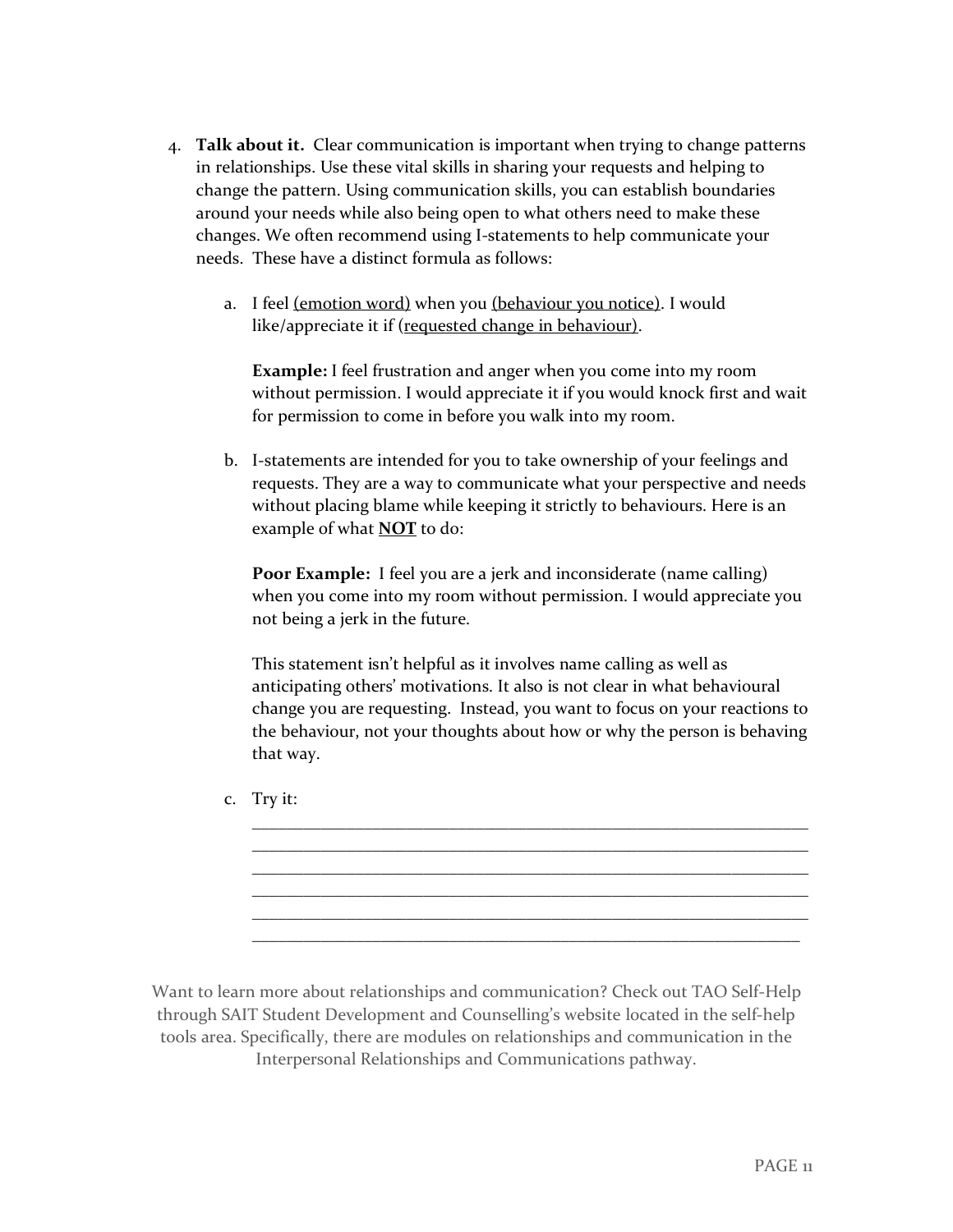- 4. **Talk about it.** Clear communication is important when trying to change patterns in relationships. Use these vital skills in sharing your requests and helping to change the pattern. Using communication skills, you can establish boundaries around your needs while also being open to what others need to make these changes. We often recommend using I-statements to help communicate your needs. These have a distinct formula as follows:
	- a. I feel (emotion word) when you (behaviour you notice). I would like/appreciate it if (requested change in behaviour).

**Example:** I feel frustration and anger when you come into my room without permission. I would appreciate it if you would knock first and wait for permission to come in before you walk into my room.

b. I-statements are intended for you to take ownership of your feelings and requests. They are a way to communicate what your perspective and needs without placing blame while keeping it strictly to behaviours. Here is an example of what **NOT** to do:

**Poor Example:** I feel you are a jerk and inconsiderate (name calling) when you come into my room without permission. I would appreciate you not being a jerk in the future.

This statement isn't helpful as it involves name calling as well as anticipating others' motivations. It also is not clear in what behavioural change you are requesting. Instead, you want to focus on your reactions to the behaviour, not your thoughts about how or why the person is behaving that way.

\_\_\_\_\_\_\_\_\_\_\_\_\_\_\_\_\_\_\_\_\_\_\_\_\_\_\_\_\_\_\_\_\_\_\_\_\_\_\_\_\_\_\_\_\_\_\_\_\_\_\_\_\_\_\_\_\_\_\_\_\_\_\_\_\_ \_\_\_\_\_\_\_\_\_\_\_\_\_\_\_\_\_\_\_\_\_\_\_\_\_\_\_\_\_\_\_\_\_\_\_\_\_\_\_\_\_\_\_\_\_\_\_\_\_\_\_\_\_\_\_\_\_\_\_\_\_\_\_\_\_ \_\_\_\_\_\_\_\_\_\_\_\_\_\_\_\_\_\_\_\_\_\_\_\_\_\_\_\_\_\_\_\_\_\_\_\_\_\_\_\_\_\_\_\_\_\_\_\_\_\_\_\_\_\_\_\_\_\_\_\_\_\_\_\_\_ \_\_\_\_\_\_\_\_\_\_\_\_\_\_\_\_\_\_\_\_\_\_\_\_\_\_\_\_\_\_\_\_\_\_\_\_\_\_\_\_\_\_\_\_\_\_\_\_\_\_\_\_\_\_\_\_\_\_\_\_\_\_\_\_\_ \_\_\_\_\_\_\_\_\_\_\_\_\_\_\_\_\_\_\_\_\_\_\_\_\_\_\_\_\_\_\_\_\_\_\_\_\_\_\_\_\_\_\_\_\_\_\_\_\_\_\_\_\_\_\_\_\_\_\_\_\_\_\_\_\_ \_\_\_\_\_\_\_\_\_\_\_\_\_\_\_\_\_\_\_\_\_\_\_\_\_\_\_\_\_\_\_\_\_\_\_\_\_\_\_\_\_\_\_\_\_\_\_\_\_\_\_\_\_\_\_\_\_\_\_\_\_\_\_\_

c. Try it:

Want to learn more about relationships and communication? Check out TAO Self-Help through SAIT Student Development and Counselling's website located in the self-help tools area. Specifically, there are modules on relationships and communication in the Interpersonal Relationships and Communications pathway.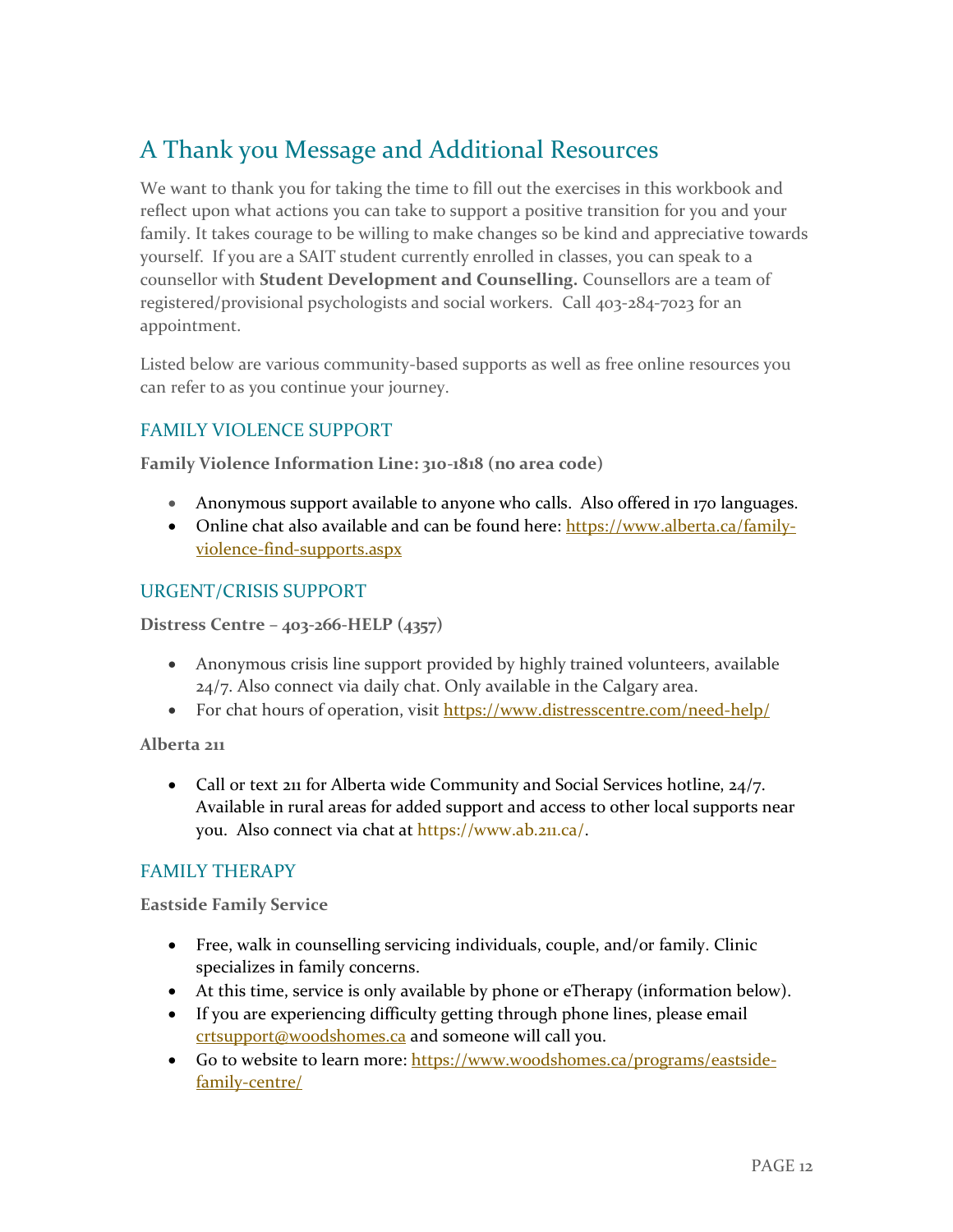### A Thank you Message and Additional Resources

We want to thank you for taking the time to fill out the exercises in this workbook and reflect upon what actions you can take to support a positive transition for you and your family. It takes courage to be willing to make changes so be kind and appreciative towards yourself. If you are a SAIT student currently enrolled in classes, you can speak to a counsellor with **Student Development and Counselling.** Counsellors are a team of registered/provisional psychologists and social workers. Call 403-284-7023 for an appointment.

Listed below are various community-based supports as well as free online resources you can refer to as you continue your journey.

### FAMILY VIOLENCE SUPPORT

**Family Violence Information Line: 310-1818 (no area code)**

- Anonymous support available to anyone who calls. Also offered in 170 languages.
- Online chat also available and can be found here: [https://www.alberta.ca/family](https://www.alberta.ca/family-violence-find-supports.aspx)[violence-find-supports.aspx](https://www.alberta.ca/family-violence-find-supports.aspx)

### URGENT/CRISIS SUPPORT

**Distress Centre – 403-266-HELP (4357)**

- Anonymous crisis line support provided by highly trained volunteers, available 24/7. Also connect via daily chat. Only available in the Calgary area.
- For chat hours of operation, visit<https://www.distresscentre.com/need-help/>

**Alberta 211**

• Call or text 211 for Alberta wide Community and Social Services hotline, 24/7. Available in rural areas for added support and access to other local supports near you. Also connect via chat at [https://www.ab.211.ca/.](https://www.ab.211.ca/)

### FAMILY THERAPY

**Eastside Family Service**

- Free, walk in counselling servicing individuals, couple, and/or family. Clinic specializes in family concerns.
- At this time, service is only available by phone or eTherapy (information below).
- If you are experiencing difficulty getting through phone lines, please email [crtsupport@woodshomes.ca](mailto:crtsupport@woodshomes.ca) and someone will call you.
- Go to website to learn more: [https://www.woodshomes.ca/programs/eastside](https://www.woodshomes.ca/programs/eastside-family-centre/)[family-centre/](https://www.woodshomes.ca/programs/eastside-family-centre/)